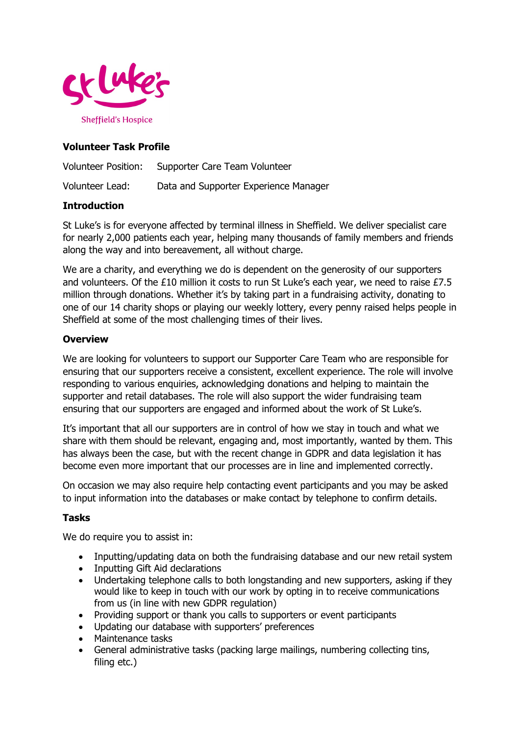

# **Volunteer Task Profile**

Volunteer Position: Supporter Care Team Volunteer Volunteer Lead: Data and Supporter Experience Manager

## **Introduction**

St Luke's is for everyone affected by terminal illness in Sheffield. We deliver specialist care for nearly 2,000 patients each year, helping many thousands of family members and friends along the way and into bereavement, all without charge.

We are a charity, and everything we do is dependent on the generosity of our supporters and volunteers. Of the £10 million it costs to run St Luke's each year, we need to raise £7.5 million through donations. Whether it's by taking part in a fundraising activity, donating to one of our 14 charity shops or playing our weekly lottery, every penny raised helps people in Sheffield at some of the most challenging times of their lives.

### **Overview**

We are looking for volunteers to support our Supporter Care Team who are responsible for ensuring that our supporters receive a consistent, excellent experience. The role will involve responding to various enquiries, acknowledging donations and helping to maintain the supporter and retail databases. The role will also support the wider fundraising team ensuring that our supporters are engaged and informed about the work of St Luke's.

It's important that all our supporters are in control of how we stay in touch and what we share with them should be relevant, engaging and, most importantly, wanted by them. This has always been the case, but with the recent change in GDPR and data legislation it has become even more important that our processes are in line and implemented correctly.

On occasion we may also require help contacting event participants and you may be asked to input information into the databases or make contact by telephone to confirm details.

## **Tasks**

We do require you to assist in:

- Inputting/updating data on both the fundraising database and our new retail system
- Inputting Gift Aid declarations
- Undertaking telephone calls to both longstanding and new supporters, asking if they would like to keep in touch with our work by opting in to receive communications from us (in line with new GDPR regulation)
- Providing support or thank you calls to supporters or event participants
- Updating our database with supporters' preferences
- Maintenance tasks
- General administrative tasks (packing large mailings, numbering collecting tins, filing etc.)